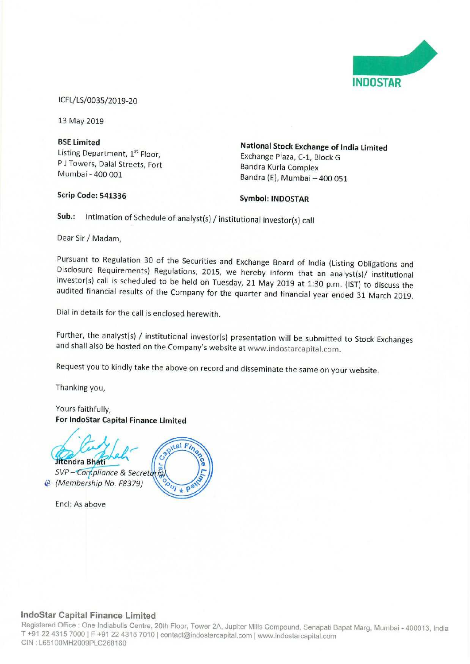

ICFL/LS/0035/2019-20

13 May 2019

P J Towers, Dalal Streets, Fort<br>Mumbai - 400 001

Scrip Code: 541336 Symbol: INDOSTAR

BSE Limited National Stock Exchange of India Limited Exchange Plaza, C-1, Block G<br>Bandra Kurla Complex Bandra (E), Mumbai - 400 051

Sub.: Intimation of Schedule of analyst(s) / institutional investor(s) call

Dear Sir/Madam,

Pursuant to Regulation <sup>30</sup> of the Securities and Exchange Board of India (Listing Obligations and Disclosure Requirements) Regulations, 2015, we hereby inform that an analyst(s)/ institutional investor(s) call is scheduled to be held on Tuesday, 21 May 2019 at 1:30 p.m. (IST) to discuss the audited financial results of the Company for the quarter and financial year ended <sup>31</sup> March 2019.

Dial in details for the call is enclosed herewith.

Further, the analyst(s) / institutional investor(s) presentation will be submitted to Stock Exchanges and shall also be hosted on the Company's website at www.indostarcapital.com.

Request you to kindly take the above on record and disseminate the same on your website.

Thanking you,

Yours faithfully, For lndoStar Capital Finance Limited

 $al \overrightarrow{F_i}$ Jitendra Bhati SVP - Compliance & Secretaria @ (Membership No. F8379)

Encl: As above

# **W**

## IndoStar Capital Finance Limited

Registered Office : One Indiabulls Centre, 20th Floor, Tower 2A, Jupiter Mills Compound, Senapati Bapat Marg, Mumbai - 400013, India<br>T. 194.22.4345.7999.LE : 04.29.491.7546.L T +91 22 4315 7000 | F +91 22 4315 7010 | contact@indostarcapital.com | www.indostarcapital.com CIN : L65100MH2009PLC268160